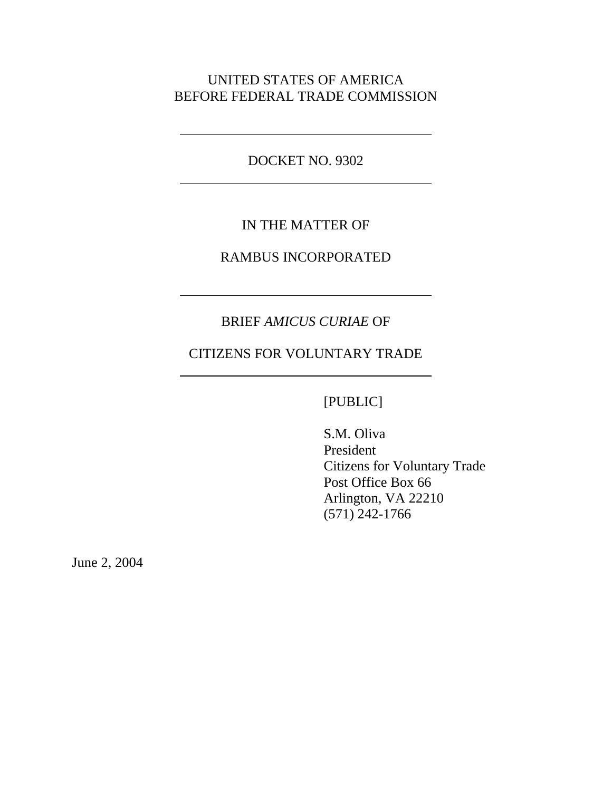## UNITED STATES OF AMERICA BEFORE FEDERAL TRADE COMMISSION

DOCKET NO. 9302

 $\overline{a}$ 

 $\overline{a}$ 

## IN THE MATTER OF

### RAMBUS INCORPORATED

# BRIEF *AMICUS CURIAE* OF

# CITIZENS FOR VOLUNTARY TRADE

## [PUBLIC]

S.M. Oliva President Citizens for Voluntary Trade Post Office Box 66 Arlington, VA 22210 (571) 242-1766

June 2, 2004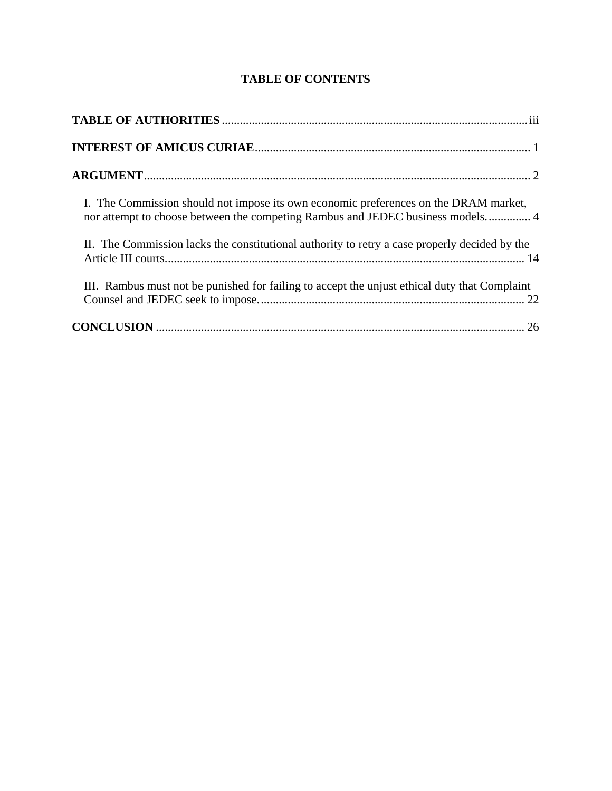## **TABLE OF CONTENTS**

| I. The Commission should not impose its own economic preferences on the DRAM market,<br>nor attempt to choose between the competing Rambus and JEDEC business models 4 |
|------------------------------------------------------------------------------------------------------------------------------------------------------------------------|
| II. The Commission lacks the constitutional authority to retry a case properly decided by the                                                                          |
| III. Rambus must not be punished for failing to accept the unjust ethical duty that Complaint                                                                          |
|                                                                                                                                                                        |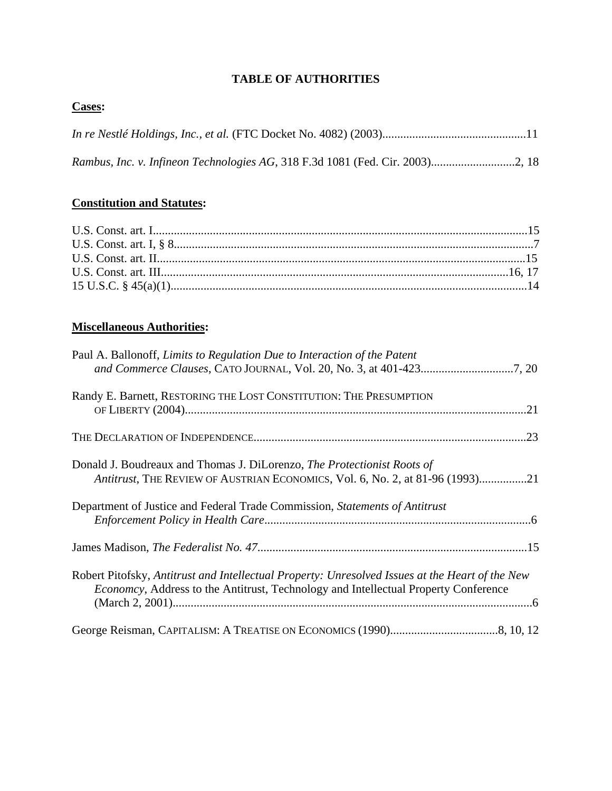## **TABLE OF AUTHORITIES**

## **Cases:**

## **Constitution and Statutes:**

# **Miscellaneous Authorities:**

| Paul A. Ballonoff, Limits to Regulation Due to Interaction of the Patent                                                                                                                       |
|------------------------------------------------------------------------------------------------------------------------------------------------------------------------------------------------|
| Randy E. Barnett, RESTORING THE LOST CONSTITUTION: THE PRESUMPTION                                                                                                                             |
|                                                                                                                                                                                                |
| Donald J. Boudreaux and Thomas J. DiLorenzo, The Protectionist Roots of<br>Antitrust, THE REVIEW OF AUSTRIAN ECONOMICS, Vol. 6, No. 2, at 81-96 (1993)21                                       |
| Department of Justice and Federal Trade Commission, Statements of Antitrust                                                                                                                    |
|                                                                                                                                                                                                |
| Robert Pitofsky, Antitrust and Intellectual Property: Unresolved Issues at the Heart of the New<br><i>Economcy</i> , Address to the Antitrust, Technology and Intellectual Property Conference |
|                                                                                                                                                                                                |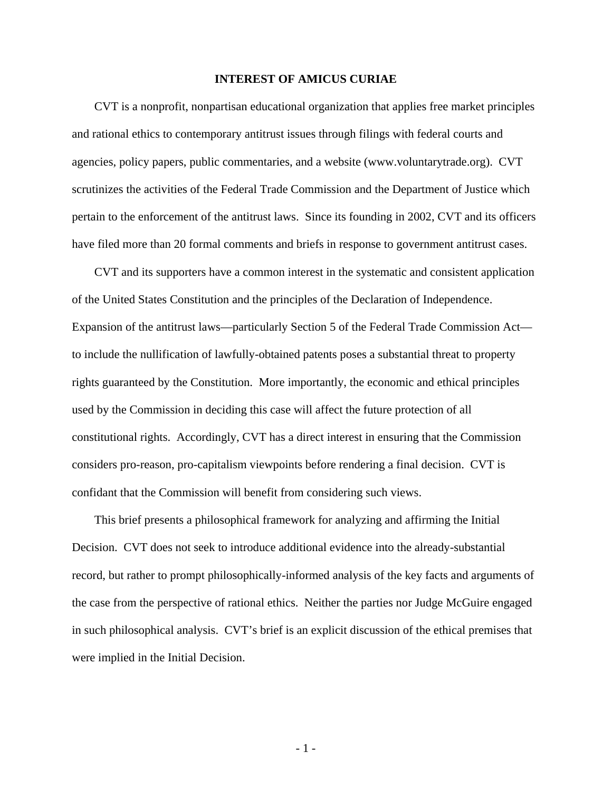#### **INTEREST OF AMICUS CURIAE**

CVT is a nonprofit, nonpartisan educational organization that applies free market principles and rational ethics to contemporary antitrust issues through filings with federal courts and agencies, policy papers, public commentaries, and a website (www.voluntarytrade.org). CVT scrutinizes the activities of the Federal Trade Commission and the Department of Justice which pertain to the enforcement of the antitrust laws. Since its founding in 2002, CVT and its officers have filed more than 20 formal comments and briefs in response to government antitrust cases.

CVT and its supporters have a common interest in the systematic and consistent application of the United States Constitution and the principles of the Declaration of Independence. Expansion of the antitrust laws—particularly Section 5 of the Federal Trade Commission Act to include the nullification of lawfully-obtained patents poses a substantial threat to property rights guaranteed by the Constitution. More importantly, the economic and ethical principles used by the Commission in deciding this case will affect the future protection of all constitutional rights. Accordingly, CVT has a direct interest in ensuring that the Commission considers pro-reason, pro-capitalism viewpoints before rendering a final decision. CVT is confidant that the Commission will benefit from considering such views.

This brief presents a philosophical framework for analyzing and affirming the Initial Decision. CVT does not seek to introduce additional evidence into the already-substantial record, but rather to prompt philosophically-informed analysis of the key facts and arguments of the case from the perspective of rational ethics. Neither the parties nor Judge McGuire engaged in such philosophical analysis. CVT's brief is an explicit discussion of the ethical premises that were implied in the Initial Decision.

- 1 -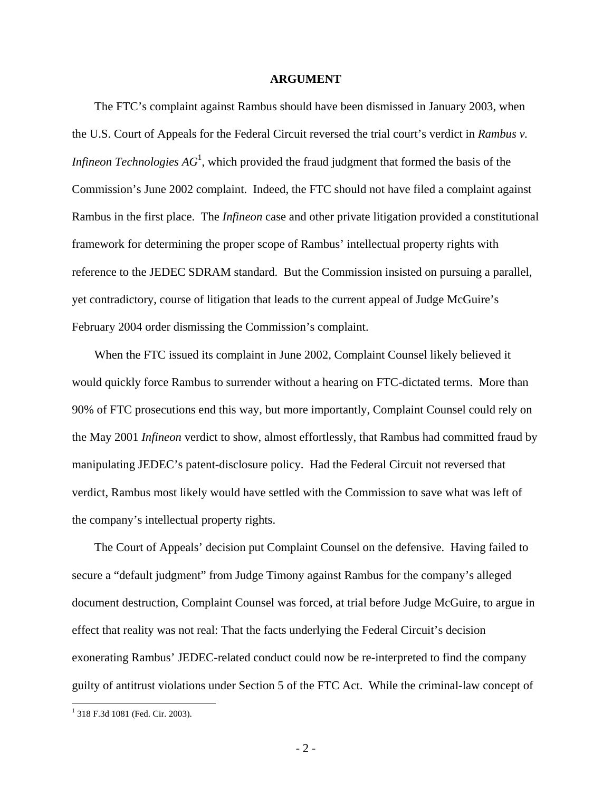#### **ARGUMENT**

The FTC's complaint against Rambus should have been dismissed in January 2003, when the U.S. Court of Appeals for the Federal Circuit reversed the trial court's verdict in *Rambus v. Infineon Technologies AG*<sup>1</sup>, which provided the fraud judgment that formed the basis of the Commission's June 2002 complaint. Indeed, the FTC should not have filed a complaint against Rambus in the first place. The *Infineon* case and other private litigation provided a constitutional framework for determining the proper scope of Rambus' intellectual property rights with reference to the JEDEC SDRAM standard. But the Commission insisted on pursuing a parallel, yet contradictory, course of litigation that leads to the current appeal of Judge McGuire's February 2004 order dismissing the Commission's complaint.

When the FTC issued its complaint in June 2002, Complaint Counsel likely believed it would quickly force Rambus to surrender without a hearing on FTC-dictated terms. More than 90% of FTC prosecutions end this way, but more importantly, Complaint Counsel could rely on the May 2001 *Infineon* verdict to show, almost effortlessly, that Rambus had committed fraud by manipulating JEDEC's patent-disclosure policy. Had the Federal Circuit not reversed that verdict, Rambus most likely would have settled with the Commission to save what was left of the company's intellectual property rights.

The Court of Appeals' decision put Complaint Counsel on the defensive. Having failed to secure a "default judgment" from Judge Timony against Rambus for the company's alleged document destruction, Complaint Counsel was forced, at trial before Judge McGuire, to argue in effect that reality was not real: That the facts underlying the Federal Circuit's decision exonerating Rambus' JEDEC-related conduct could now be re-interpreted to find the company guilty of antitrust violations under Section 5 of the FTC Act. While the criminal-law concept of

1

<sup>1</sup> 318 F.3d 1081 (Fed. Cir. 2003).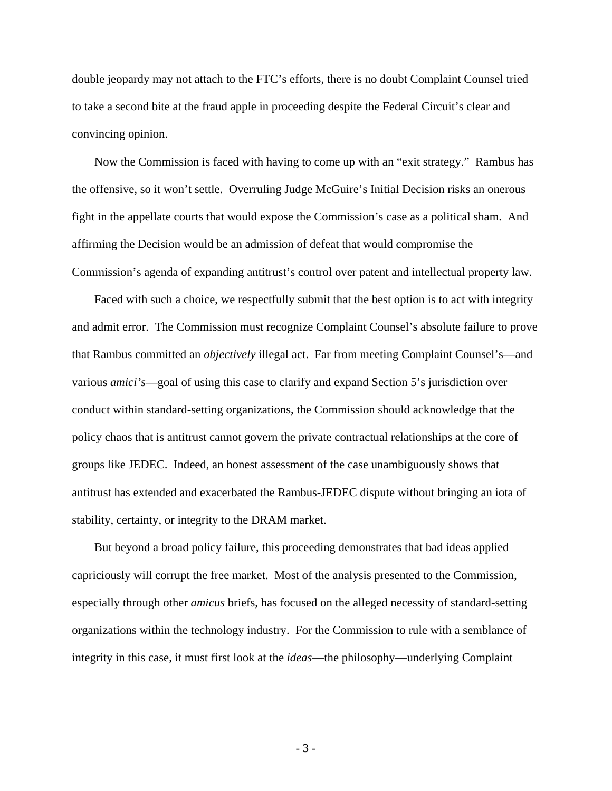double jeopardy may not attach to the FTC's efforts, there is no doubt Complaint Counsel tried to take a second bite at the fraud apple in proceeding despite the Federal Circuit's clear and convincing opinion.

Now the Commission is faced with having to come up with an "exit strategy." Rambus has the offensive, so it won't settle. Overruling Judge McGuire's Initial Decision risks an onerous fight in the appellate courts that would expose the Commission's case as a political sham. And affirming the Decision would be an admission of defeat that would compromise the Commission's agenda of expanding antitrust's control over patent and intellectual property law.

Faced with such a choice, we respectfully submit that the best option is to act with integrity and admit error. The Commission must recognize Complaint Counsel's absolute failure to prove that Rambus committed an *objectively* illegal act. Far from meeting Complaint Counsel's—and various *amici's*—goal of using this case to clarify and expand Section 5's jurisdiction over conduct within standard-setting organizations, the Commission should acknowledge that the policy chaos that is antitrust cannot govern the private contractual relationships at the core of groups like JEDEC. Indeed, an honest assessment of the case unambiguously shows that antitrust has extended and exacerbated the Rambus-JEDEC dispute without bringing an iota of stability, certainty, or integrity to the DRAM market.

But beyond a broad policy failure, this proceeding demonstrates that bad ideas applied capriciously will corrupt the free market. Most of the analysis presented to the Commission, especially through other *amicus* briefs, has focused on the alleged necessity of standard-setting organizations within the technology industry. For the Commission to rule with a semblance of integrity in this case, it must first look at the *ideas*—the philosophy—underlying Complaint

- 3 -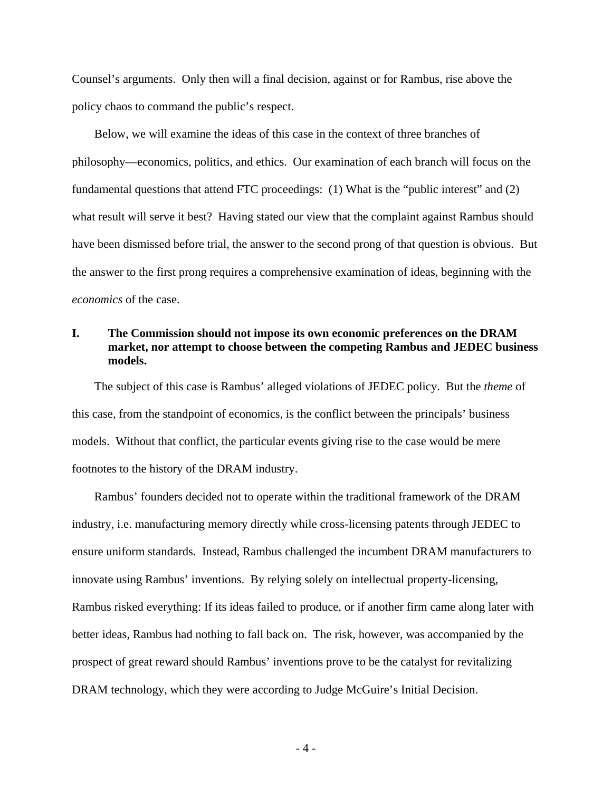Counsel's arguments. Only then will a final decision, against or for Rambus, rise above the policy chaos to command the public's respect.

Below, we will examine the ideas of this case in the context of three branches of philosophy—economics, politics, and ethics. Our examination of each branch will focus on the fundamental questions that attend FTC proceedings: (1) What is the "public interest" and (2) what result will serve it best? Having stated our view that the complaint against Rambus should have been dismissed before trial, the answer to the second prong of that question is obvious. But the answer to the first prong requires a comprehensive examination of ideas, beginning with the *economics* of the case.

### **I. The Commission should not impose its own economic preferences on the DRAM market, nor attempt to choose between the competing Rambus and JEDEC business models.**

The subject of this case is Rambus' alleged violations of JEDEC policy. But the *theme* of this case, from the standpoint of economics, is the conflict between the principals' business models. Without that conflict, the particular events giving rise to the case would be mere footnotes to the history of the DRAM industry.

Rambus' founders decided not to operate within the traditional framework of the DRAM industry, i.e. manufacturing memory directly while cross-licensing patents through JEDEC to ensure uniform standards. Instead, Rambus challenged the incumbent DRAM manufacturers to innovate using Rambus' inventions. By relying solely on intellectual property-licensing, Rambus risked everything: If its ideas failed to produce, or if another firm came along later with better ideas, Rambus had nothing to fall back on. The risk, however, was accompanied by the prospect of great reward should Rambus' inventions prove to be the catalyst for revitalizing DRAM technology, which they were according to Judge McGuire's Initial Decision.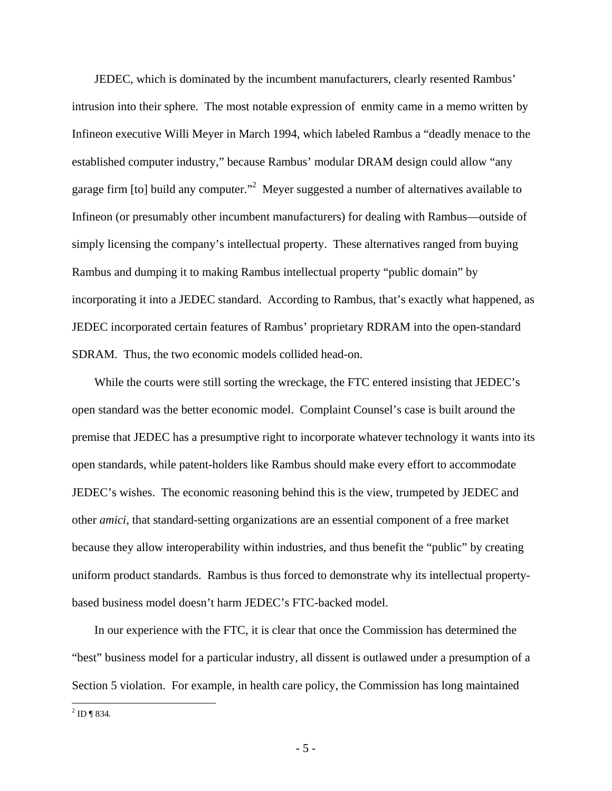JEDEC, which is dominated by the incumbent manufacturers, clearly resented Rambus' intrusion into their sphere. The most notable expression of enmity came in a memo written by Infineon executive Willi Meyer in March 1994, which labeled Rambus a "deadly menace to the established computer industry," because Rambus' modular DRAM design could allow "any garage firm [to] build any computer."<sup>2</sup> Meyer suggested a number of alternatives available to Infineon (or presumably other incumbent manufacturers) for dealing with Rambus—outside of simply licensing the company's intellectual property. These alternatives ranged from buying Rambus and dumping it to making Rambus intellectual property "public domain" by incorporating it into a JEDEC standard. According to Rambus, that's exactly what happened, as JEDEC incorporated certain features of Rambus' proprietary RDRAM into the open-standard SDRAM. Thus, the two economic models collided head-on.

While the courts were still sorting the wreckage, the FTC entered insisting that JEDEC's open standard was the better economic model. Complaint Counsel's case is built around the premise that JEDEC has a presumptive right to incorporate whatever technology it wants into its open standards, while patent-holders like Rambus should make every effort to accommodate JEDEC's wishes. The economic reasoning behind this is the view, trumpeted by JEDEC and other *amici*, that standard-setting organizations are an essential component of a free market because they allow interoperability within industries, and thus benefit the "public" by creating uniform product standards. Rambus is thus forced to demonstrate why its intellectual propertybased business model doesn't harm JEDEC's FTC-backed model.

In our experience with the FTC, it is clear that once the Commission has determined the "best" business model for a particular industry, all dissent is outlawed under a presumption of a Section 5 violation. For example, in health care policy, the Commission has long maintained

 $^{2}$  ID ¶ 834.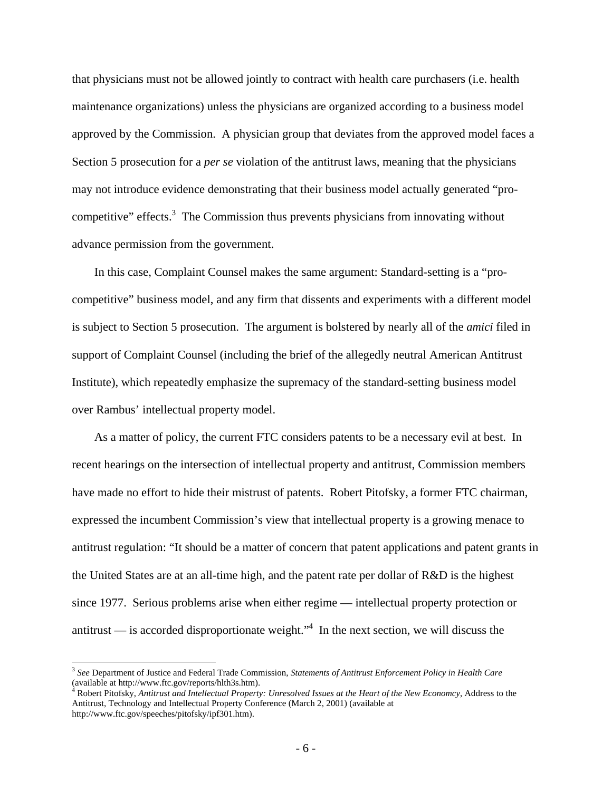that physicians must not be allowed jointly to contract with health care purchasers (i.e. health maintenance organizations) unless the physicians are organized according to a business model approved by the Commission. A physician group that deviates from the approved model faces a Section 5 prosecution for a *per se* violation of the antitrust laws, meaning that the physicians may not introduce evidence demonstrating that their business model actually generated "procompetitive" effects.<sup>3</sup> The Commission thus prevents physicians from innovating without advance permission from the government.

In this case, Complaint Counsel makes the same argument: Standard-setting is a "procompetitive" business model, and any firm that dissents and experiments with a different model is subject to Section 5 prosecution. The argument is bolstered by nearly all of the *amici* filed in support of Complaint Counsel (including the brief of the allegedly neutral American Antitrust Institute), which repeatedly emphasize the supremacy of the standard-setting business model over Rambus' intellectual property model.

As a matter of policy, the current FTC considers patents to be a necessary evil at best. In recent hearings on the intersection of intellectual property and antitrust, Commission members have made no effort to hide their mistrust of patents. Robert Pitofsky, a former FTC chairman, expressed the incumbent Commission's view that intellectual property is a growing menace to antitrust regulation: "It should be a matter of concern that patent applications and patent grants in the United States are at an all-time high, and the patent rate per dollar of R&D is the highest since 1977. Serious problems arise when either regime — intellectual property protection or antitrust — is accorded disproportionate weight.<sup> $,4$ </sup> In the next section, we will discuss the

 $\overline{a}$ 

<sup>3</sup> *See* Department of Justice and Federal Trade Commission, *Statements of Antitrust Enforcement Policy in Health Care* (available at http://www.ftc.gov/reports/hlth3s.htm).

Robert Pitofsky, *Antitrust and Intellectual Property: Unresolved Issues at the Heart of the New Economcy*, Address to the Antitrust, Technology and Intellectual Property Conference (March 2, 2001) (available at http://www.ftc.gov/speeches/pitofsky/ipf301.htm).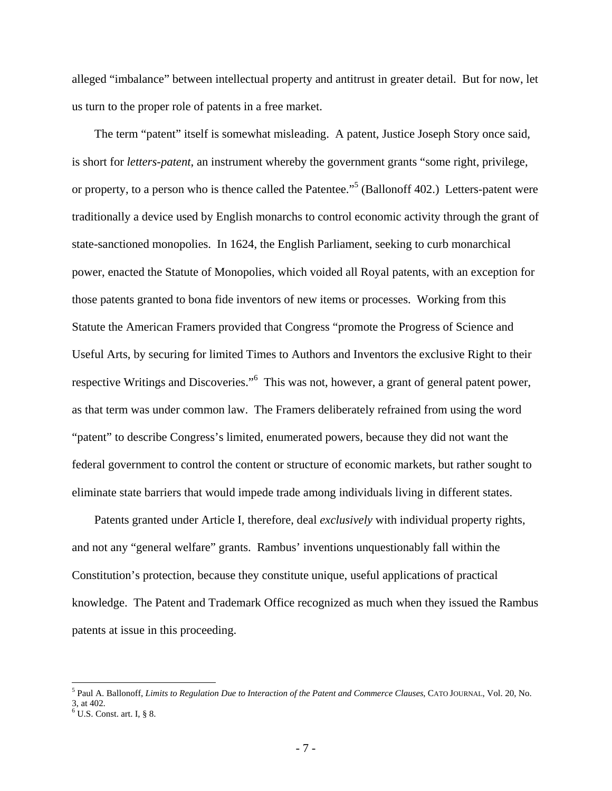alleged "imbalance" between intellectual property and antitrust in greater detail. But for now, let us turn to the proper role of patents in a free market.

The term "patent" itself is somewhat misleading. A patent, Justice Joseph Story once said, is short for *letters-patent*, an instrument whereby the government grants "some right, privilege, or property, to a person who is thence called the Patentee."<sup>5</sup> (Ballonoff 402.) Letters-patent were traditionally a device used by English monarchs to control economic activity through the grant of state-sanctioned monopolies. In 1624, the English Parliament, seeking to curb monarchical power, enacted the Statute of Monopolies, which voided all Royal patents, with an exception for those patents granted to bona fide inventors of new items or processes. Working from this Statute the American Framers provided that Congress "promote the Progress of Science and Useful Arts, by securing for limited Times to Authors and Inventors the exclusive Right to their respective Writings and Discoveries."<sup>6</sup> This was not, however, a grant of general patent power, as that term was under common law. The Framers deliberately refrained from using the word "patent" to describe Congress's limited, enumerated powers, because they did not want the federal government to control the content or structure of economic markets, but rather sought to eliminate state barriers that would impede trade among individuals living in different states.

Patents granted under Article I, therefore, deal *exclusively* with individual property rights, and not any "general welfare" grants. Rambus' inventions unquestionably fall within the Constitution's protection, because they constitute unique, useful applications of practical knowledge. The Patent and Trademark Office recognized as much when they issued the Rambus patents at issue in this proceeding.

<u>.</u>

<sup>5</sup> Paul A. Ballonoff, *Limits to Regulation Due to Interaction of the Patent and Commerce Clauses*, CATO JOURNAL, Vol. 20, No. 3, at 402.

 $6$  U.S. Const. art. I, § 8.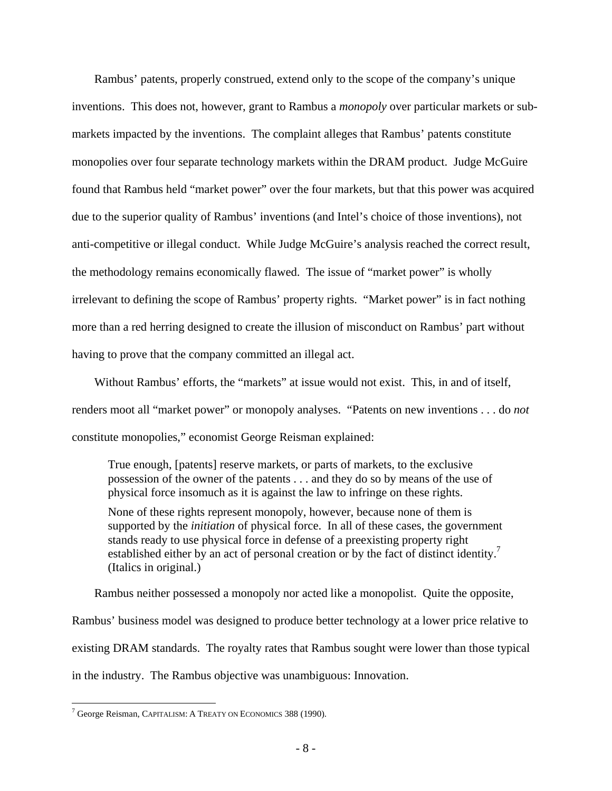Rambus' patents, properly construed, extend only to the scope of the company's unique inventions. This does not, however, grant to Rambus a *monopoly* over particular markets or submarkets impacted by the inventions. The complaint alleges that Rambus' patents constitute monopolies over four separate technology markets within the DRAM product. Judge McGuire found that Rambus held "market power" over the four markets, but that this power was acquired due to the superior quality of Rambus' inventions (and Intel's choice of those inventions), not anti-competitive or illegal conduct. While Judge McGuire's analysis reached the correct result, the methodology remains economically flawed. The issue of "market power" is wholly irrelevant to defining the scope of Rambus' property rights. "Market power" is in fact nothing more than a red herring designed to create the illusion of misconduct on Rambus' part without having to prove that the company committed an illegal act.

Without Rambus' efforts, the "markets" at issue would not exist. This, in and of itself, renders moot all "market power" or monopoly analyses. "Patents on new inventions . . . do *not*  constitute monopolies," economist George Reisman explained:

True enough, [patents] reserve markets, or parts of markets, to the exclusive possession of the owner of the patents . . . and they do so by means of the use of physical force insomuch as it is against the law to infringe on these rights.

None of these rights represent monopoly, however, because none of them is supported by the *initiation* of physical force. In all of these cases, the government stands ready to use physical force in defense of a preexisting property right established either by an act of personal creation or by the fact of distinct identity.<sup>7</sup> (Italics in original.)

Rambus neither possessed a monopoly nor acted like a monopolist. Quite the opposite, Rambus' business model was designed to produce better technology at a lower price relative to existing DRAM standards. The royalty rates that Rambus sought were lower than those typical in the industry. The Rambus objective was unambiguous: Innovation.

1

<sup>7</sup> George Reisman, CAPITALISM: A TREATY ON ECONOMICS 388 (1990).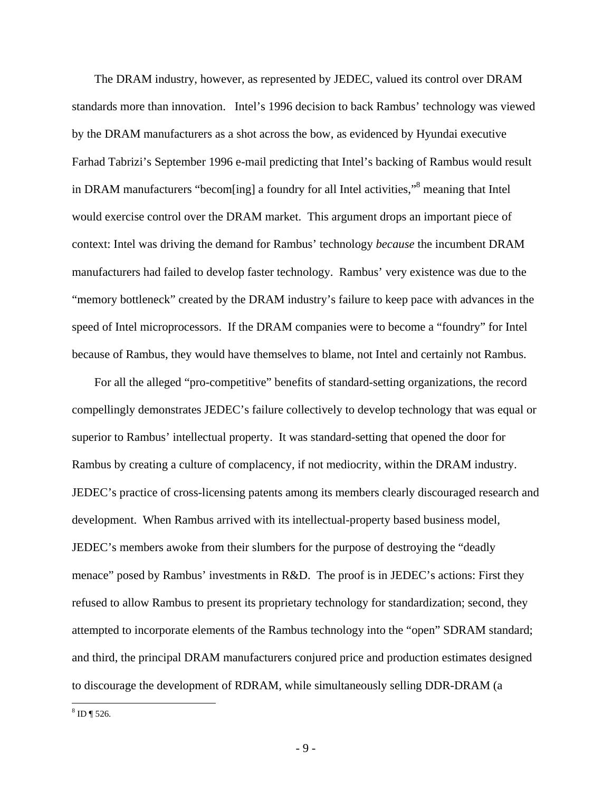The DRAM industry, however, as represented by JEDEC, valued its control over DRAM standards more than innovation. Intel's 1996 decision to back Rambus' technology was viewed by the DRAM manufacturers as a shot across the bow, as evidenced by Hyundai executive Farhad Tabrizi's September 1996 e-mail predicting that Intel's backing of Rambus would result in DRAM manufacturers "becom[ing] a foundry for all Intel activities,"<sup>8</sup> meaning that Intel would exercise control over the DRAM market. This argument drops an important piece of context: Intel was driving the demand for Rambus' technology *because* the incumbent DRAM manufacturers had failed to develop faster technology. Rambus' very existence was due to the "memory bottleneck" created by the DRAM industry's failure to keep pace with advances in the speed of Intel microprocessors. If the DRAM companies were to become a "foundry" for Intel because of Rambus, they would have themselves to blame, not Intel and certainly not Rambus.

For all the alleged "pro-competitive" benefits of standard-setting organizations, the record compellingly demonstrates JEDEC's failure collectively to develop technology that was equal or superior to Rambus' intellectual property. It was standard-setting that opened the door for Rambus by creating a culture of complacency, if not mediocrity, within the DRAM industry. JEDEC's practice of cross-licensing patents among its members clearly discouraged research and development. When Rambus arrived with its intellectual-property based business model, JEDEC's members awoke from their slumbers for the purpose of destroying the "deadly menace" posed by Rambus' investments in R&D. The proof is in JEDEC's actions: First they refused to allow Rambus to present its proprietary technology for standardization; second, they attempted to incorporate elements of the Rambus technology into the "open" SDRAM standard; and third, the principal DRAM manufacturers conjured price and production estimates designed to discourage the development of RDRAM, while simultaneously selling DDR-DRAM (a

 $\overline{a}$  $8 \text{ ID } \P 526.$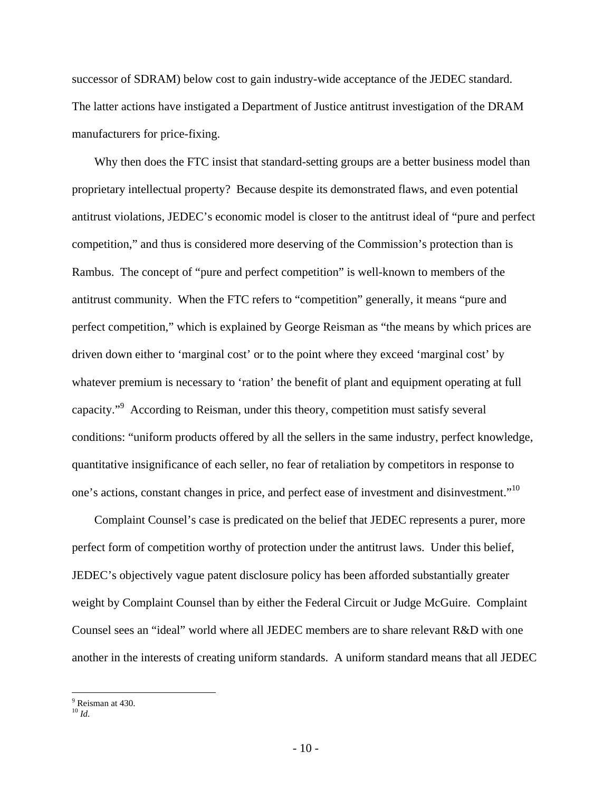successor of SDRAM) below cost to gain industry-wide acceptance of the JEDEC standard. The latter actions have instigated a Department of Justice antitrust investigation of the DRAM manufacturers for price-fixing.

Why then does the FTC insist that standard-setting groups are a better business model than proprietary intellectual property? Because despite its demonstrated flaws, and even potential antitrust violations, JEDEC's economic model is closer to the antitrust ideal of "pure and perfect competition," and thus is considered more deserving of the Commission's protection than is Rambus. The concept of "pure and perfect competition" is well-known to members of the antitrust community. When the FTC refers to "competition" generally, it means "pure and perfect competition," which is explained by George Reisman as "the means by which prices are driven down either to 'marginal cost' or to the point where they exceed 'marginal cost' by whatever premium is necessary to 'ration' the benefit of plant and equipment operating at full capacity."<sup>9</sup> According to Reisman, under this theory, competition must satisfy several conditions: "uniform products offered by all the sellers in the same industry, perfect knowledge, quantitative insignificance of each seller, no fear of retaliation by competitors in response to one's actions, constant changes in price, and perfect ease of investment and disinvestment."<sup>10</sup>

Complaint Counsel's case is predicated on the belief that JEDEC represents a purer, more perfect form of competition worthy of protection under the antitrust laws. Under this belief, JEDEC's objectively vague patent disclosure policy has been afforded substantially greater weight by Complaint Counsel than by either the Federal Circuit or Judge McGuire. Complaint Counsel sees an "ideal" world where all JEDEC members are to share relevant R&D with one another in the interests of creating uniform standards. A uniform standard means that all JEDEC

<sup>1</sup> <sup>9</sup> Reisman at 430.

 $^{10}$  *Id*.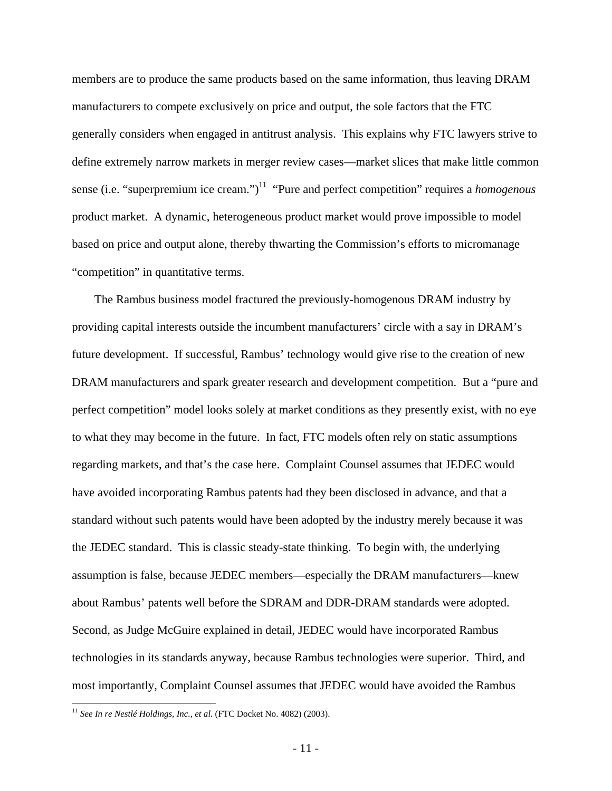members are to produce the same products based on the same information, thus leaving DRAM manufacturers to compete exclusively on price and output, the sole factors that the FTC generally considers when engaged in antitrust analysis. This explains why FTC lawyers strive to define extremely narrow markets in merger review cases—market slices that make little common sense (i.e. "superpremium ice cream.")<sup>11</sup> "Pure and perfect competition" requires a *homogenous* product market. A dynamic, heterogeneous product market would prove impossible to model based on price and output alone, thereby thwarting the Commission's efforts to micromanage "competition" in quantitative terms.

The Rambus business model fractured the previously-homogenous DRAM industry by providing capital interests outside the incumbent manufacturers' circle with a say in DRAM's future development. If successful, Rambus' technology would give rise to the creation of new DRAM manufacturers and spark greater research and development competition. But a "pure and perfect competition" model looks solely at market conditions as they presently exist, with no eye to what they may become in the future. In fact, FTC models often rely on static assumptions regarding markets, and that's the case here. Complaint Counsel assumes that JEDEC would have avoided incorporating Rambus patents had they been disclosed in advance, and that a standard without such patents would have been adopted by the industry merely because it was the JEDEC standard. This is classic steady-state thinking. To begin with, the underlying assumption is false, because JEDEC members—especially the DRAM manufacturers—knew about Rambus' patents well before the SDRAM and DDR-DRAM standards were adopted. Second, as Judge McGuire explained in detail, JEDEC would have incorporated Rambus technologies in its standards anyway, because Rambus technologies were superior. Third, and most importantly, Complaint Counsel assumes that JEDEC would have avoided the Rambus

 $\overline{a}$ 

<sup>&</sup>lt;sup>11</sup> See In re Nestlé Holdings, Inc., et al. (FTC Docket No. 4082) (2003).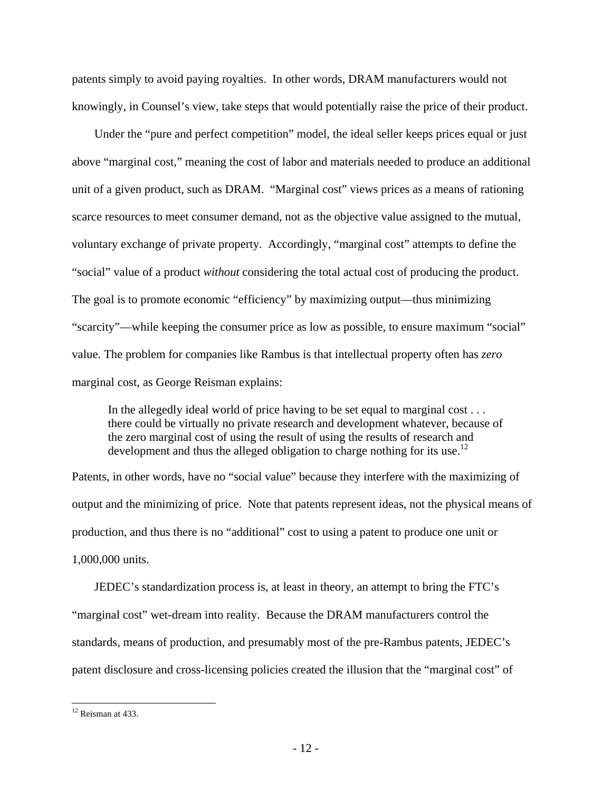patents simply to avoid paying royalties. In other words, DRAM manufacturers would not knowingly, in Counsel's view, take steps that would potentially raise the price of their product.

Under the "pure and perfect competition" model, the ideal seller keeps prices equal or just above "marginal cost," meaning the cost of labor and materials needed to produce an additional unit of a given product, such as DRAM. "Marginal cost" views prices as a means of rationing scarce resources to meet consumer demand, not as the objective value assigned to the mutual, voluntary exchange of private property. Accordingly, "marginal cost" attempts to define the "social" value of a product *without* considering the total actual cost of producing the product. The goal is to promote economic "efficiency" by maximizing output—thus minimizing "scarcity"—while keeping the consumer price as low as possible, to ensure maximum "social" value. The problem for companies like Rambus is that intellectual property often has *zero*  marginal cost, as George Reisman explains:

In the allegedly ideal world of price having to be set equal to marginal cost . . . there could be virtually no private research and development whatever, because of the zero marginal cost of using the result of using the results of research and development and thus the alleged obligation to charge nothing for its use.<sup>12</sup>

Patents, in other words, have no "social value" because they interfere with the maximizing of output and the minimizing of price. Note that patents represent ideas, not the physical means of production, and thus there is no "additional" cost to using a patent to produce one unit or 1,000,000 units.

JEDEC's standardization process is, at least in theory, an attempt to bring the FTC's "marginal cost" wet-dream into reality. Because the DRAM manufacturers control the standards, means of production, and presumably most of the pre-Rambus patents, JEDEC's patent disclosure and cross-licensing policies created the illusion that the "marginal cost" of

 $\overline{a}$ 

<sup>&</sup>lt;sup>12</sup> Reisman at 433.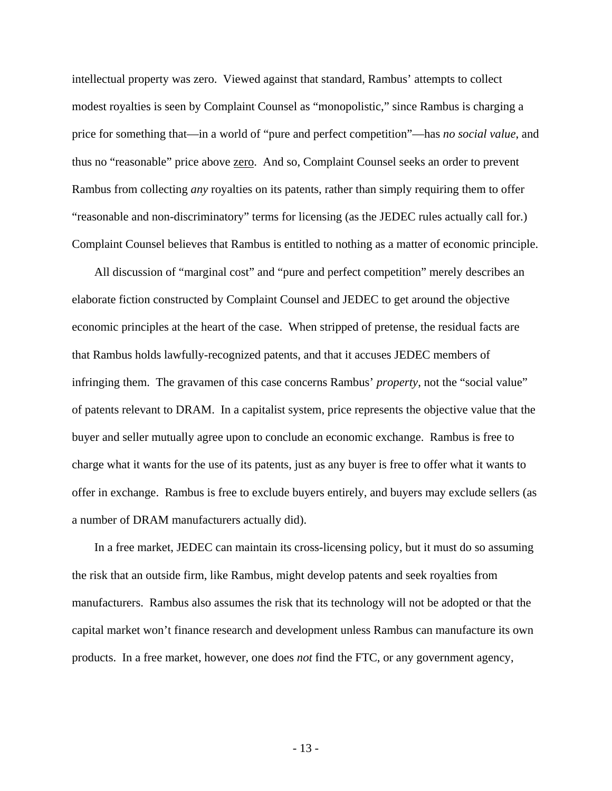intellectual property was zero. Viewed against that standard, Rambus' attempts to collect modest royalties is seen by Complaint Counsel as "monopolistic," since Rambus is charging a price for something that—in a world of "pure and perfect competition"—has *no social value*, and thus no "reasonable" price above zero. And so, Complaint Counsel seeks an order to prevent Rambus from collecting *any* royalties on its patents, rather than simply requiring them to offer "reasonable and non-discriminatory" terms for licensing (as the JEDEC rules actually call for.) Complaint Counsel believes that Rambus is entitled to nothing as a matter of economic principle.

All discussion of "marginal cost" and "pure and perfect competition" merely describes an elaborate fiction constructed by Complaint Counsel and JEDEC to get around the objective economic principles at the heart of the case. When stripped of pretense, the residual facts are that Rambus holds lawfully-recognized patents, and that it accuses JEDEC members of infringing them. The gravamen of this case concerns Rambus' *property*, not the "social value" of patents relevant to DRAM. In a capitalist system, price represents the objective value that the buyer and seller mutually agree upon to conclude an economic exchange. Rambus is free to charge what it wants for the use of its patents, just as any buyer is free to offer what it wants to offer in exchange. Rambus is free to exclude buyers entirely, and buyers may exclude sellers (as a number of DRAM manufacturers actually did).

In a free market, JEDEC can maintain its cross-licensing policy, but it must do so assuming the risk that an outside firm, like Rambus, might develop patents and seek royalties from manufacturers. Rambus also assumes the risk that its technology will not be adopted or that the capital market won't finance research and development unless Rambus can manufacture its own products. In a free market, however, one does *not* find the FTC, or any government agency,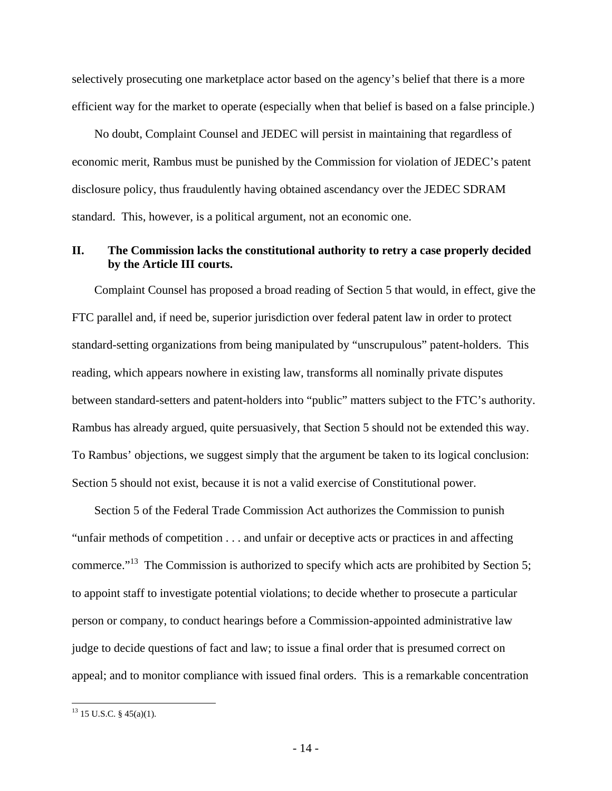selectively prosecuting one marketplace actor based on the agency's belief that there is a more efficient way for the market to operate (especially when that belief is based on a false principle.)

No doubt, Complaint Counsel and JEDEC will persist in maintaining that regardless of economic merit, Rambus must be punished by the Commission for violation of JEDEC's patent disclosure policy, thus fraudulently having obtained ascendancy over the JEDEC SDRAM standard. This, however, is a political argument, not an economic one.

### **II. The Commission lacks the constitutional authority to retry a case properly decided by the Article III courts.**

Complaint Counsel has proposed a broad reading of Section 5 that would, in effect, give the FTC parallel and, if need be, superior jurisdiction over federal patent law in order to protect standard-setting organizations from being manipulated by "unscrupulous" patent-holders. This reading, which appears nowhere in existing law, transforms all nominally private disputes between standard-setters and patent-holders into "public" matters subject to the FTC's authority. Rambus has already argued, quite persuasively, that Section 5 should not be extended this way. To Rambus' objections, we suggest simply that the argument be taken to its logical conclusion: Section 5 should not exist, because it is not a valid exercise of Constitutional power.

Section 5 of the Federal Trade Commission Act authorizes the Commission to punish "unfair methods of competition . . . and unfair or deceptive acts or practices in and affecting commerce."13 The Commission is authorized to specify which acts are prohibited by Section 5; to appoint staff to investigate potential violations; to decide whether to prosecute a particular person or company, to conduct hearings before a Commission-appointed administrative law judge to decide questions of fact and law; to issue a final order that is presumed correct on appeal; and to monitor compliance with issued final orders. This is a remarkable concentration

 $\overline{a}$ 

 $13$  15 U.S.C. § 45(a)(1).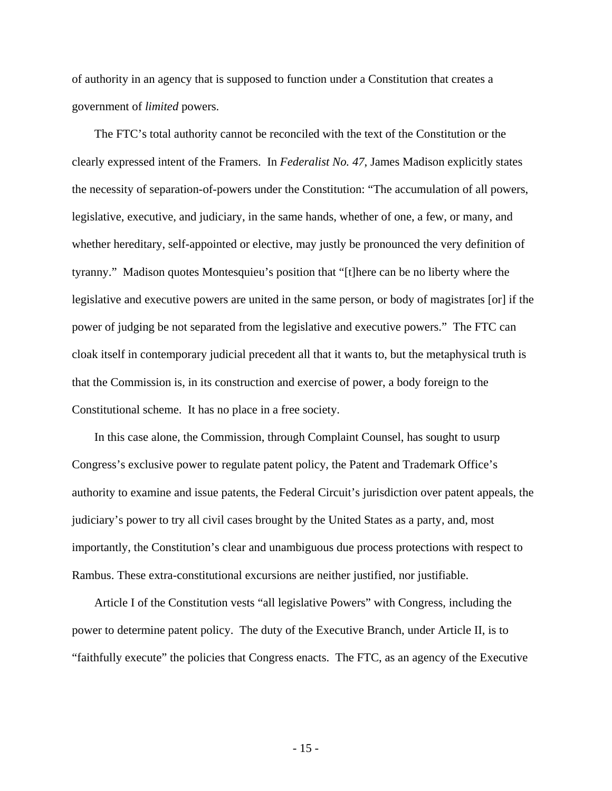of authority in an agency that is supposed to function under a Constitution that creates a government of *limited* powers.

The FTC's total authority cannot be reconciled with the text of the Constitution or the clearly expressed intent of the Framers. In *Federalist No. 47*, James Madison explicitly states the necessity of separation-of-powers under the Constitution: "The accumulation of all powers, legislative, executive, and judiciary, in the same hands, whether of one, a few, or many, and whether hereditary, self-appointed or elective, may justly be pronounced the very definition of tyranny." Madison quotes Montesquieu's position that "[t]here can be no liberty where the legislative and executive powers are united in the same person, or body of magistrates [or] if the power of judging be not separated from the legislative and executive powers." The FTC can cloak itself in contemporary judicial precedent all that it wants to, but the metaphysical truth is that the Commission is, in its construction and exercise of power, a body foreign to the Constitutional scheme. It has no place in a free society.

In this case alone, the Commission, through Complaint Counsel, has sought to usurp Congress's exclusive power to regulate patent policy, the Patent and Trademark Office's authority to examine and issue patents, the Federal Circuit's jurisdiction over patent appeals, the judiciary's power to try all civil cases brought by the United States as a party, and, most importantly, the Constitution's clear and unambiguous due process protections with respect to Rambus. These extra-constitutional excursions are neither justified, nor justifiable.

Article I of the Constitution vests "all legislative Powers" with Congress, including the power to determine patent policy. The duty of the Executive Branch, under Article II, is to "faithfully execute" the policies that Congress enacts. The FTC, as an agency of the Executive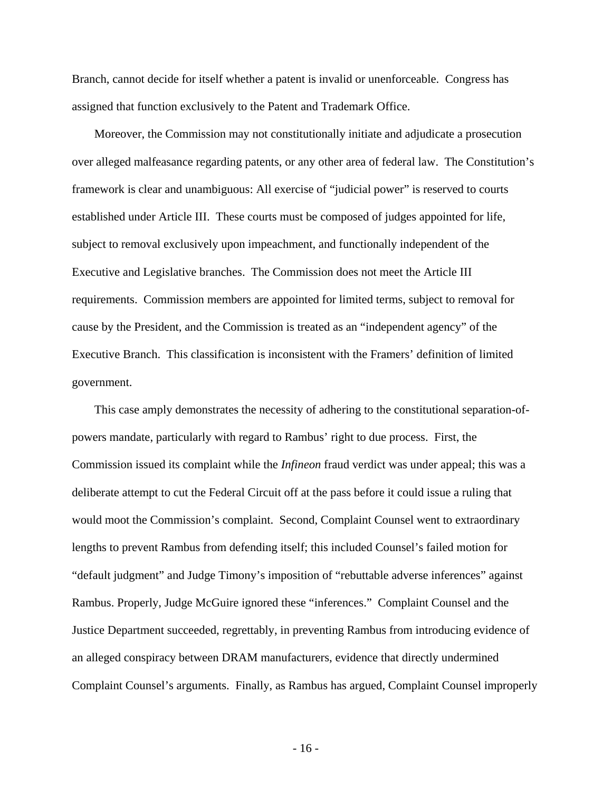Branch, cannot decide for itself whether a patent is invalid or unenforceable. Congress has assigned that function exclusively to the Patent and Trademark Office.

Moreover, the Commission may not constitutionally initiate and adjudicate a prosecution over alleged malfeasance regarding patents, or any other area of federal law. The Constitution's framework is clear and unambiguous: All exercise of "judicial power" is reserved to courts established under Article III. These courts must be composed of judges appointed for life, subject to removal exclusively upon impeachment, and functionally independent of the Executive and Legislative branches. The Commission does not meet the Article III requirements. Commission members are appointed for limited terms, subject to removal for cause by the President, and the Commission is treated as an "independent agency" of the Executive Branch. This classification is inconsistent with the Framers' definition of limited government.

This case amply demonstrates the necessity of adhering to the constitutional separation-ofpowers mandate, particularly with regard to Rambus' right to due process. First, the Commission issued its complaint while the *Infineon* fraud verdict was under appeal; this was a deliberate attempt to cut the Federal Circuit off at the pass before it could issue a ruling that would moot the Commission's complaint. Second, Complaint Counsel went to extraordinary lengths to prevent Rambus from defending itself; this included Counsel's failed motion for "default judgment" and Judge Timony's imposition of "rebuttable adverse inferences" against Rambus. Properly, Judge McGuire ignored these "inferences." Complaint Counsel and the Justice Department succeeded, regrettably, in preventing Rambus from introducing evidence of an alleged conspiracy between DRAM manufacturers, evidence that directly undermined Complaint Counsel's arguments. Finally, as Rambus has argued, Complaint Counsel improperly

- 16 -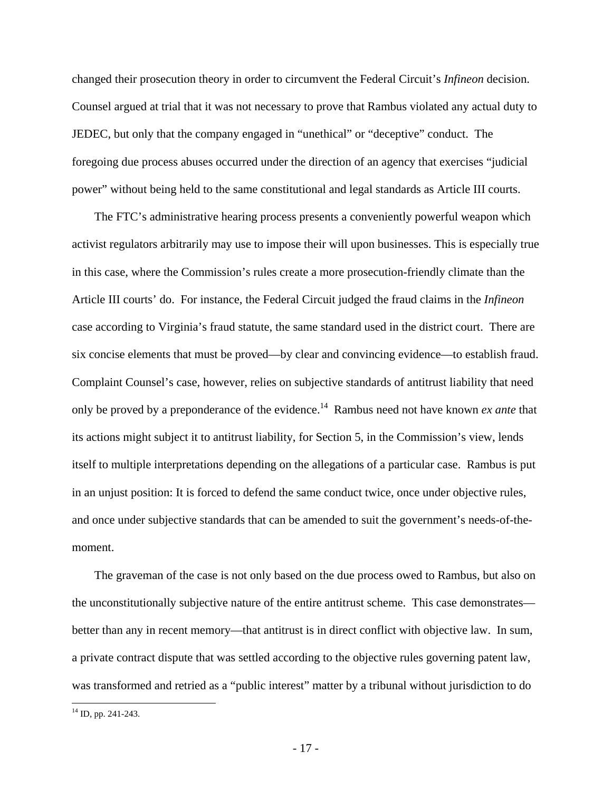changed their prosecution theory in order to circumvent the Federal Circuit's *Infineon* decision. Counsel argued at trial that it was not necessary to prove that Rambus violated any actual duty to JEDEC, but only that the company engaged in "unethical" or "deceptive" conduct. The foregoing due process abuses occurred under the direction of an agency that exercises "judicial power" without being held to the same constitutional and legal standards as Article III courts.

The FTC's administrative hearing process presents a conveniently powerful weapon which activist regulators arbitrarily may use to impose their will upon businesses. This is especially true in this case, where the Commission's rules create a more prosecution-friendly climate than the Article III courts' do. For instance, the Federal Circuit judged the fraud claims in the *Infineon*  case according to Virginia's fraud statute, the same standard used in the district court. There are six concise elements that must be proved—by clear and convincing evidence—to establish fraud. Complaint Counsel's case, however, relies on subjective standards of antitrust liability that need only be proved by a preponderance of the evidence.14 Rambus need not have known *ex ante* that its actions might subject it to antitrust liability, for Section 5, in the Commission's view, lends itself to multiple interpretations depending on the allegations of a particular case. Rambus is put in an unjust position: It is forced to defend the same conduct twice, once under objective rules, and once under subjective standards that can be amended to suit the government's needs-of-themoment.

The graveman of the case is not only based on the due process owed to Rambus, but also on the unconstitutionally subjective nature of the entire antitrust scheme. This case demonstrates better than any in recent memory—that antitrust is in direct conflict with objective law. In sum, a private contract dispute that was settled according to the objective rules governing patent law, was transformed and retried as a "public interest" matter by a tribunal without jurisdiction to do

1

 $14$  ID, pp. 241-243.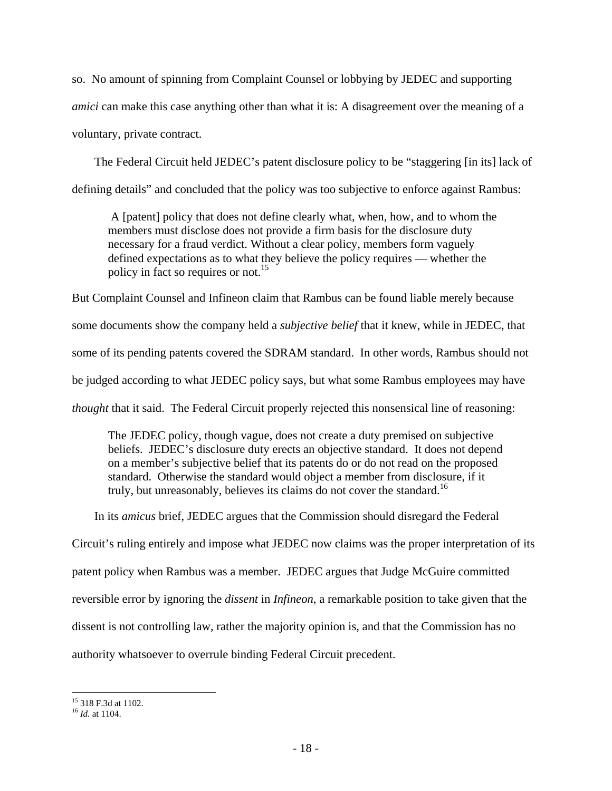so. No amount of spinning from Complaint Counsel or lobbying by JEDEC and supporting *amici* can make this case anything other than what it is: A disagreement over the meaning of a voluntary, private contract.

The Federal Circuit held JEDEC's patent disclosure policy to be "staggering [in its] lack of defining details" and concluded that the policy was too subjective to enforce against Rambus:

 A [patent] policy that does not define clearly what, when, how, and to whom the members must disclose does not provide a firm basis for the disclosure duty necessary for a fraud verdict. Without a clear policy, members form vaguely defined expectations as to what they believe the policy requires — whether the policy in fact so requires or not.<sup>15</sup>

But Complaint Counsel and Infineon claim that Rambus can be found liable merely because some documents show the company held a *subjective belief* that it knew, while in JEDEC, that some of its pending patents covered the SDRAM standard. In other words, Rambus should not be judged according to what JEDEC policy says, but what some Rambus employees may have *thought* that it said. The Federal Circuit properly rejected this nonsensical line of reasoning:

The JEDEC policy, though vague, does not create a duty premised on subjective beliefs. JEDEC's disclosure duty erects an objective standard. It does not depend on a member's subjective belief that its patents do or do not read on the proposed standard. Otherwise the standard would object a member from disclosure, if it truly, but unreasonably, believes its claims do not cover the standard.<sup>16</sup>

In its *amicus* brief, JEDEC argues that the Commission should disregard the Federal Circuit's ruling entirely and impose what JEDEC now claims was the proper interpretation of its patent policy when Rambus was a member. JEDEC argues that Judge McGuire committed reversible error by ignoring the *dissent* in *Infineon*, a remarkable position to take given that the dissent is not controlling law, rather the majority opinion is, and that the Commission has no authority whatsoever to overrule binding Federal Circuit precedent.

 $\overline{a}$ 15 318 F.3d at 1102.

<sup>16</sup> *Id.* at 1104.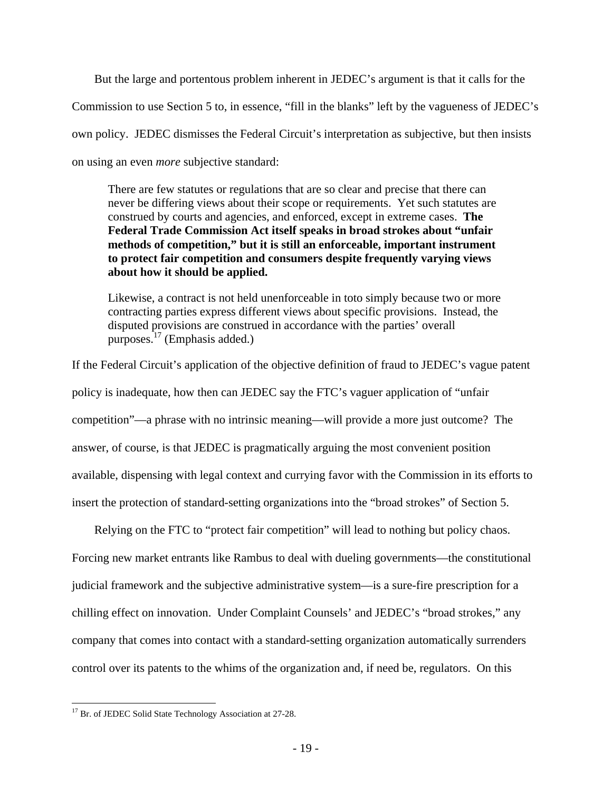But the large and portentous problem inherent in JEDEC's argument is that it calls for the Commission to use Section 5 to, in essence, "fill in the blanks" left by the vagueness of JEDEC's own policy. JEDEC dismisses the Federal Circuit's interpretation as subjective, but then insists on using an even *more* subjective standard:

There are few statutes or regulations that are so clear and precise that there can never be differing views about their scope or requirements. Yet such statutes are construed by courts and agencies, and enforced, except in extreme cases. **The Federal Trade Commission Act itself speaks in broad strokes about "unfair methods of competition," but it is still an enforceable, important instrument to protect fair competition and consumers despite frequently varying views about how it should be applied.**

Likewise, a contract is not held unenforceable in toto simply because two or more contracting parties express different views about specific provisions. Instead, the disputed provisions are construed in accordance with the parties' overall purposes. $17$  (Emphasis added.)

If the Federal Circuit's application of the objective definition of fraud to JEDEC's vague patent policy is inadequate, how then can JEDEC say the FTC's vaguer application of "unfair competition"—a phrase with no intrinsic meaning—will provide a more just outcome? The answer, of course, is that JEDEC is pragmatically arguing the most convenient position available, dispensing with legal context and currying favor with the Commission in its efforts to insert the protection of standard-setting organizations into the "broad strokes" of Section 5.

Relying on the FTC to "protect fair competition" will lead to nothing but policy chaos. Forcing new market entrants like Rambus to deal with dueling governments—the constitutional judicial framework and the subjective administrative system—is a sure-fire prescription for a chilling effect on innovation. Under Complaint Counsels' and JEDEC's "broad strokes," any company that comes into contact with a standard-setting organization automatically surrenders control over its patents to the whims of the organization and, if need be, regulators. On this

 $\overline{a}$ <sup>17</sup> Br. of JEDEC Solid State Technology Association at 27-28.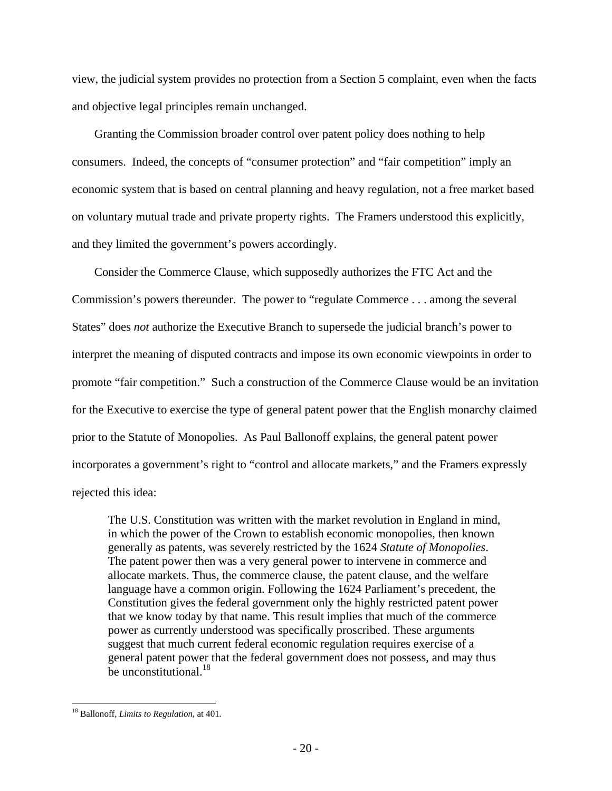view, the judicial system provides no protection from a Section 5 complaint, even when the facts and objective legal principles remain unchanged.

Granting the Commission broader control over patent policy does nothing to help consumers. Indeed, the concepts of "consumer protection" and "fair competition" imply an economic system that is based on central planning and heavy regulation, not a free market based on voluntary mutual trade and private property rights. The Framers understood this explicitly, and they limited the government's powers accordingly.

Consider the Commerce Clause, which supposedly authorizes the FTC Act and the Commission's powers thereunder. The power to "regulate Commerce . . . among the several States" does *not* authorize the Executive Branch to supersede the judicial branch's power to interpret the meaning of disputed contracts and impose its own economic viewpoints in order to promote "fair competition." Such a construction of the Commerce Clause would be an invitation for the Executive to exercise the type of general patent power that the English monarchy claimed prior to the Statute of Monopolies. As Paul Ballonoff explains, the general patent power incorporates a government's right to "control and allocate markets," and the Framers expressly rejected this idea:

The U.S. Constitution was written with the market revolution in England in mind, in which the power of the Crown to establish economic monopolies, then known generally as patents, was severely restricted by the 1624 *Statute of Monopolies*. The patent power then was a very general power to intervene in commerce and allocate markets. Thus, the commerce clause, the patent clause, and the welfare language have a common origin. Following the 1624 Parliament's precedent, the Constitution gives the federal government only the highly restricted patent power that we know today by that name. This result implies that much of the commerce power as currently understood was specifically proscribed. These arguments suggest that much current federal economic regulation requires exercise of a general patent power that the federal government does not possess, and may thus be unconstitutional.<sup>18</sup>

 $\overline{a}$ 18 Ballonoff, *Limits to Regulation*, at 401.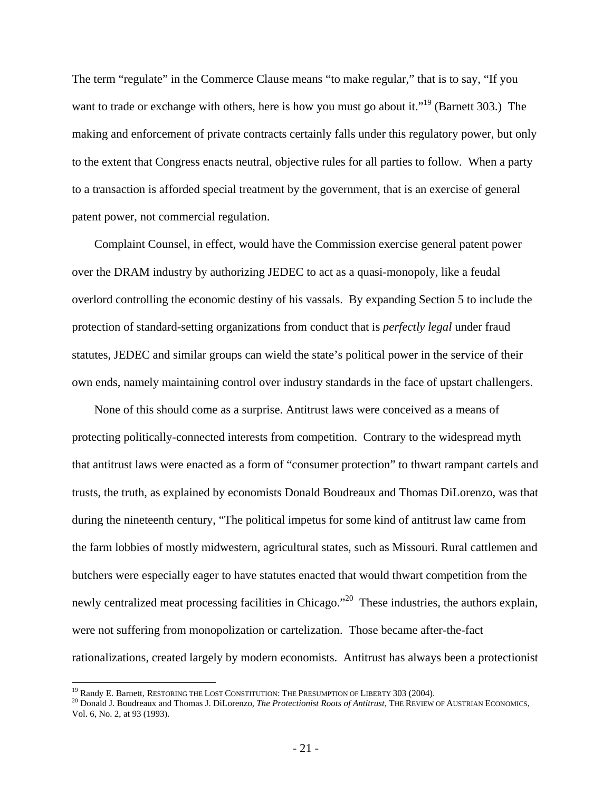The term "regulate" in the Commerce Clause means "to make regular," that is to say, "If you want to trade or exchange with others, here is how you must go about it."<sup>19</sup> (Barnett 303.) The making and enforcement of private contracts certainly falls under this regulatory power, but only to the extent that Congress enacts neutral, objective rules for all parties to follow. When a party to a transaction is afforded special treatment by the government, that is an exercise of general patent power, not commercial regulation.

Complaint Counsel, in effect, would have the Commission exercise general patent power over the DRAM industry by authorizing JEDEC to act as a quasi-monopoly, like a feudal overlord controlling the economic destiny of his vassals. By expanding Section 5 to include the protection of standard-setting organizations from conduct that is *perfectly legal* under fraud statutes, JEDEC and similar groups can wield the state's political power in the service of their own ends, namely maintaining control over industry standards in the face of upstart challengers.

None of this should come as a surprise. Antitrust laws were conceived as a means of protecting politically-connected interests from competition. Contrary to the widespread myth that antitrust laws were enacted as a form of "consumer protection" to thwart rampant cartels and trusts, the truth, as explained by economists Donald Boudreaux and Thomas DiLorenzo, was that during the nineteenth century, "The political impetus for some kind of antitrust law came from the farm lobbies of mostly midwestern, agricultural states, such as Missouri. Rural cattlemen and butchers were especially eager to have statutes enacted that would thwart competition from the newly centralized meat processing facilities in Chicago."<sup>20</sup> These industries, the authors explain, were not suffering from monopolization or cartelization. Those became after-the-fact rationalizations, created largely by modern economists. Antitrust has always been a protectionist

<sup>&</sup>lt;sup>19</sup> Randy E. Barnett, RESTORING THE LOST CONSTITUTION: THE PRESUMPTION OF LIBERTY 303 (2004).

<sup>&</sup>lt;sup>20</sup> Donald J. Boudreaux and Thomas J. DiLorenzo, *The Protectionist Roots of Antitrust*, THE REVIEW OF AUSTRIAN ECONOMICS, Vol. 6, No. 2, at 93 (1993).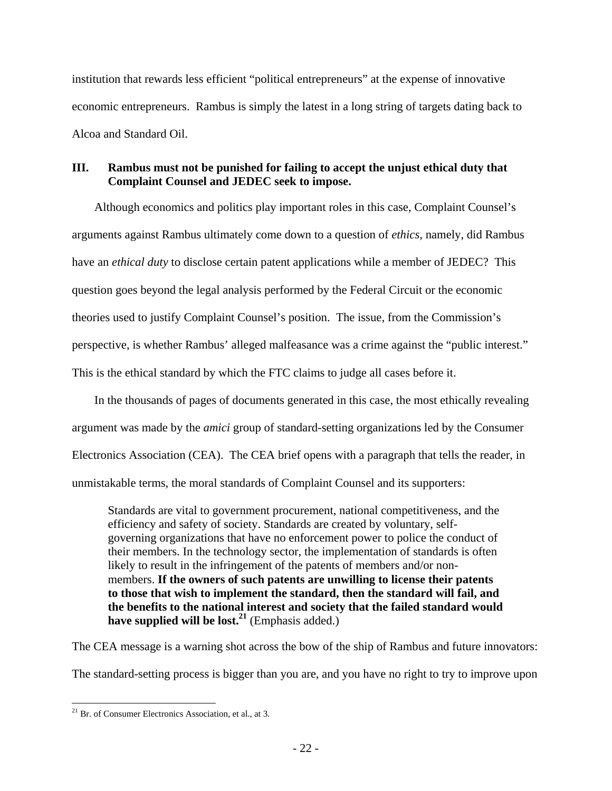institution that rewards less efficient "political entrepreneurs" at the expense of innovative economic entrepreneurs. Rambus is simply the latest in a long string of targets dating back to Alcoa and Standard Oil.

### **III. Rambus must not be punished for failing to accept the unjust ethical duty that Complaint Counsel and JEDEC seek to impose.**

Although economics and politics play important roles in this case, Complaint Counsel's arguments against Rambus ultimately come down to a question of *ethics*, namely, did Rambus have an *ethical duty* to disclose certain patent applications while a member of JEDEC? This question goes beyond the legal analysis performed by the Federal Circuit or the economic theories used to justify Complaint Counsel's position. The issue, from the Commission's perspective, is whether Rambus' alleged malfeasance was a crime against the "public interest." This is the ethical standard by which the FTC claims to judge all cases before it.

In the thousands of pages of documents generated in this case, the most ethically revealing argument was made by the *amici* group of standard-setting organizations led by the Consumer Electronics Association (CEA). The CEA brief opens with a paragraph that tells the reader, in unmistakable terms, the moral standards of Complaint Counsel and its supporters:

Standards are vital to government procurement, national competitiveness, and the efficiency and safety of society. Standards are created by voluntary, selfgoverning organizations that have no enforcement power to police the conduct of their members. In the technology sector, the implementation of standards is often likely to result in the infringement of the patents of members and/or nonmembers. **If the owners of such patents are unwilling to license their patents to those that wish to implement the standard, then the standard will fail, and the benefits to the national interest and society that the failed standard would**  have supplied will be lost.<sup>21</sup> (Emphasis added.)

The CEA message is a warning shot across the bow of the ship of Rambus and future innovators:

The standard-setting process is bigger than you are, and you have no right to try to improve upon

 $\overline{a}$  $21$  Br. of Consumer Electronics Association, et al., at 3.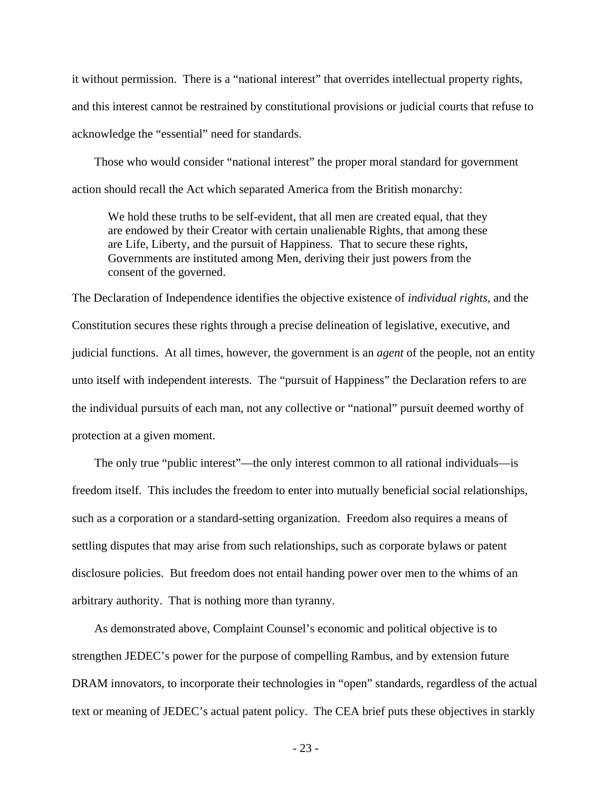it without permission. There is a "national interest" that overrides intellectual property rights, and this interest cannot be restrained by constitutional provisions or judicial courts that refuse to acknowledge the "essential" need for standards.

Those who would consider "national interest" the proper moral standard for government action should recall the Act which separated America from the British monarchy:

We hold these truths to be self-evident, that all men are created equal, that they are endowed by their Creator with certain unalienable Rights, that among these are Life, Liberty, and the pursuit of Happiness. That to secure these rights, Governments are instituted among Men, deriving their just powers from the consent of the governed.

The Declaration of Independence identifies the objective existence of *individual rights*, and the Constitution secures these rights through a precise delineation of legislative, executive, and judicial functions. At all times, however, the government is an *agent* of the people, not an entity unto itself with independent interests. The "pursuit of Happiness" the Declaration refers to are the individual pursuits of each man, not any collective or "national" pursuit deemed worthy of protection at a given moment.

The only true "public interest"—the only interest common to all rational individuals—is freedom itself. This includes the freedom to enter into mutually beneficial social relationships, such as a corporation or a standard-setting organization. Freedom also requires a means of settling disputes that may arise from such relationships, such as corporate bylaws or patent disclosure policies. But freedom does not entail handing power over men to the whims of an arbitrary authority. That is nothing more than tyranny.

As demonstrated above, Complaint Counsel's economic and political objective is to strengthen JEDEC's power for the purpose of compelling Rambus, and by extension future DRAM innovators, to incorporate their technologies in "open" standards, regardless of the actual text or meaning of JEDEC's actual patent policy. The CEA brief puts these objectives in starkly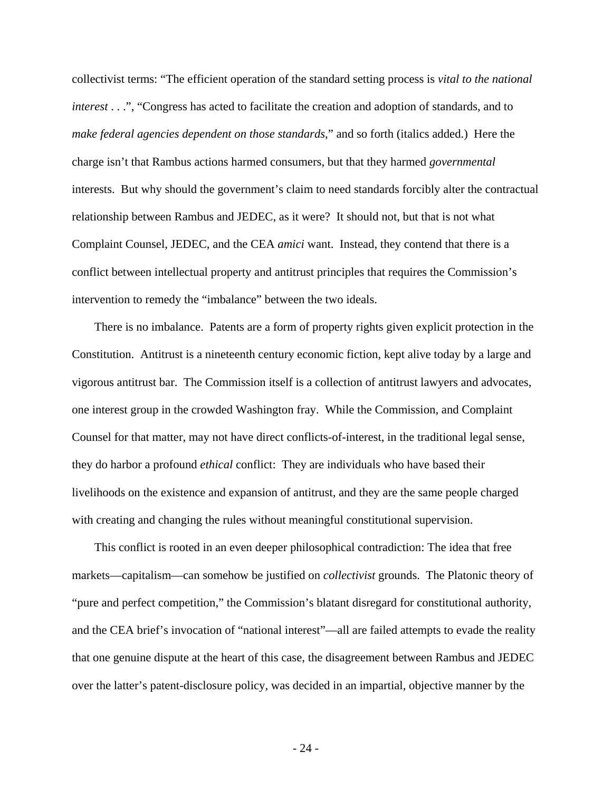collectivist terms: "The efficient operation of the standard setting process is *vital to the national interest* . . .", "Congress has acted to facilitate the creation and adoption of standards, and to *make federal agencies dependent on those standards*," and so forth (italics added.) Here the charge isn't that Rambus actions harmed consumers, but that they harmed *governmental*  interests. But why should the government's claim to need standards forcibly alter the contractual relationship between Rambus and JEDEC, as it were? It should not, but that is not what Complaint Counsel, JEDEC, and the CEA *amici* want. Instead, they contend that there is a conflict between intellectual property and antitrust principles that requires the Commission's intervention to remedy the "imbalance" between the two ideals.

There is no imbalance. Patents are a form of property rights given explicit protection in the Constitution. Antitrust is a nineteenth century economic fiction, kept alive today by a large and vigorous antitrust bar. The Commission itself is a collection of antitrust lawyers and advocates, one interest group in the crowded Washington fray. While the Commission, and Complaint Counsel for that matter, may not have direct conflicts-of-interest, in the traditional legal sense, they do harbor a profound *ethical* conflict: They are individuals who have based their livelihoods on the existence and expansion of antitrust, and they are the same people charged with creating and changing the rules without meaningful constitutional supervision.

This conflict is rooted in an even deeper philosophical contradiction: The idea that free markets—capitalism—can somehow be justified on *collectivist* grounds. The Platonic theory of "pure and perfect competition," the Commission's blatant disregard for constitutional authority, and the CEA brief's invocation of "national interest"—all are failed attempts to evade the reality that one genuine dispute at the heart of this case, the disagreement between Rambus and JEDEC over the latter's patent-disclosure policy, was decided in an impartial, objective manner by the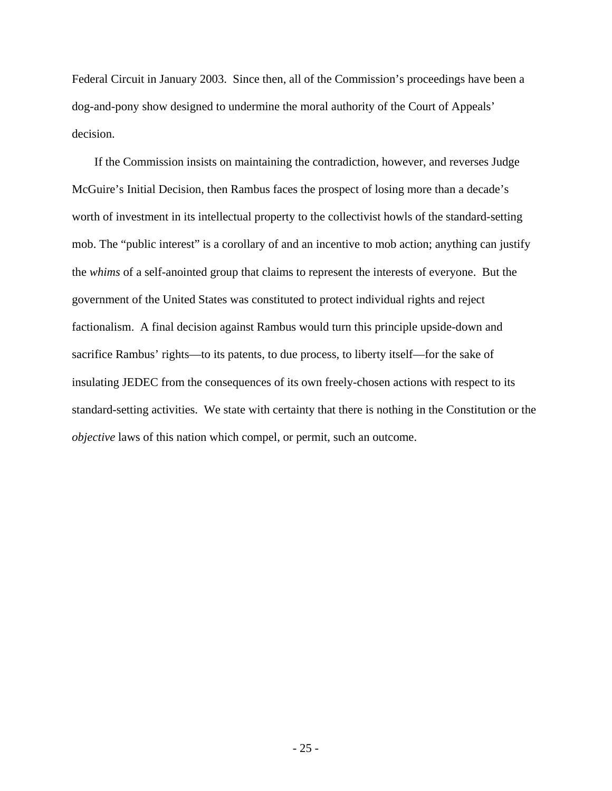Federal Circuit in January 2003. Since then, all of the Commission's proceedings have been a dog-and-pony show designed to undermine the moral authority of the Court of Appeals' decision.

If the Commission insists on maintaining the contradiction, however, and reverses Judge McGuire's Initial Decision, then Rambus faces the prospect of losing more than a decade's worth of investment in its intellectual property to the collectivist howls of the standard-setting mob. The "public interest" is a corollary of and an incentive to mob action; anything can justify the *whims* of a self-anointed group that claims to represent the interests of everyone. But the government of the United States was constituted to protect individual rights and reject factionalism. A final decision against Rambus would turn this principle upside-down and sacrifice Rambus' rights—to its patents, to due process, to liberty itself—for the sake of insulating JEDEC from the consequences of its own freely-chosen actions with respect to its standard-setting activities. We state with certainty that there is nothing in the Constitution or the *objective* laws of this nation which compel, or permit, such an outcome.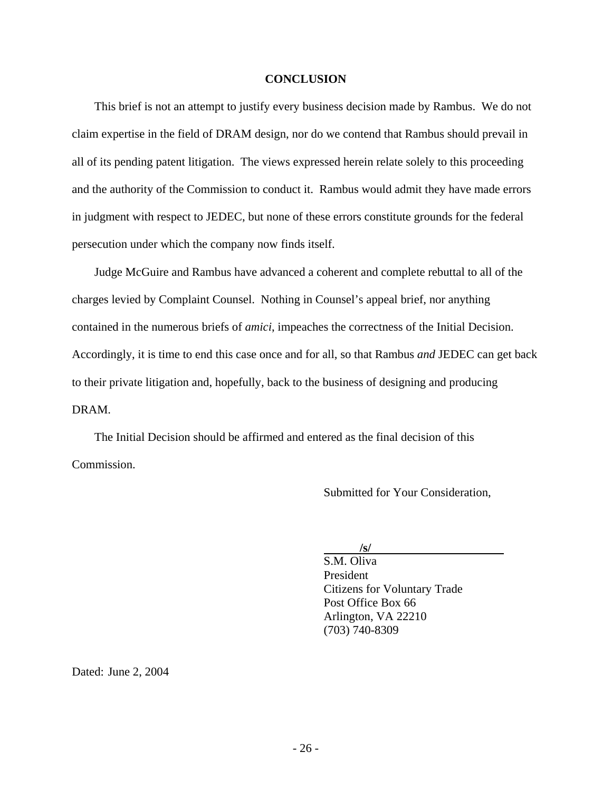#### **CONCLUSION**

This brief is not an attempt to justify every business decision made by Rambus. We do not claim expertise in the field of DRAM design, nor do we contend that Rambus should prevail in all of its pending patent litigation. The views expressed herein relate solely to this proceeding and the authority of the Commission to conduct it. Rambus would admit they have made errors in judgment with respect to JEDEC, but none of these errors constitute grounds for the federal persecution under which the company now finds itself.

Judge McGuire and Rambus have advanced a coherent and complete rebuttal to all of the charges levied by Complaint Counsel. Nothing in Counsel's appeal brief, nor anything contained in the numerous briefs of *amici*, impeaches the correctness of the Initial Decision. Accordingly, it is time to end this case once and for all, so that Rambus *and* JEDEC can get back to their private litigation and, hopefully, back to the business of designing and producing DRAM.

The Initial Decision should be affirmed and entered as the final decision of this Commission.

Submitted for Your Consideration,

 **/s/** 

S.M. Oliva President Citizens for Voluntary Trade Post Office Box 66 Arlington, VA 22210 (703) 740-8309

Dated: June 2, 2004